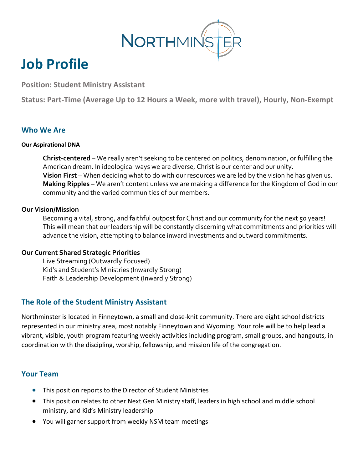

# **Job Profile**

**Position: Student Ministry Assistant** 

**Status: Part-Time (Average Up to 12 Hours a Week, more with travel), Hourly, Non-Exempt**

#### **Who We Are**

#### **Our Aspirational DNA**

**Christ-centered** – We really aren't seeking to be centered on politics, denomination, or fulfilling the American dream. In ideological ways we are diverse, Christ is our center and our unity. **Vision First** – When deciding what to do with our resources we are led by the vision he has given us. **Making Ripples** – We aren't content unless we are making a difference for the Kingdom of God in our community and the varied communities of our members.

#### **Our Vision/Mission**

Becoming a vital, strong, and faithful outpost for Christ and our community for the next 50 years! This will mean that our leadership will be constantly discerning what commitments and priorities will advance the vision, attempting to balance inward investments and outward commitments.

#### **Our Current Shared Strategic Priorities**

Live Streaming (Outwardly Focused) Kid's and Student's Ministries (Inwardly Strong) Faith & Leadership Development (Inwardly Strong)

## **The Role of the Student Ministry Assistant**

Northminster is located in Finneytown, a small and close-knit community. There are eight school districts represented in our ministry area, most notably Finneytown and Wyoming. Your role will be to help lead a vibrant, visible, youth program featuring weekly activities including program, small groups, and hangouts, in coordination with the discipling, worship, fellowship, and mission life of the congregation.

#### **Your Team**

- This position reports to the Director of Student Ministries
- This position relates to other Next Gen Ministry staff, leaders in high school and middle school ministry, and Kid's Ministry leadership
- You will garner support from weekly NSM team meetings